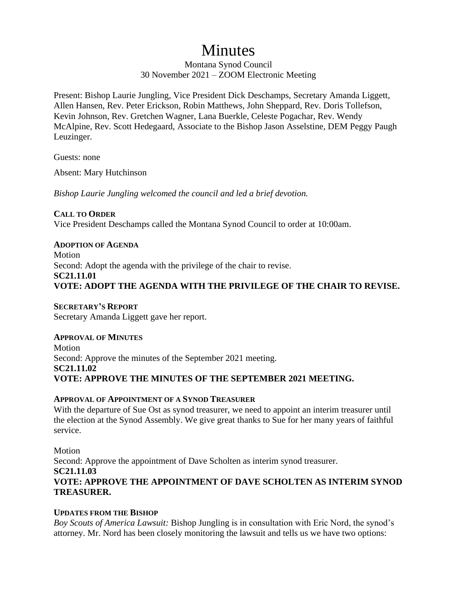# Minutes

Montana Synod Council 30 November 2021 – ZOOM Electronic Meeting

Present: Bishop Laurie Jungling, Vice President Dick Deschamps, Secretary Amanda Liggett, Allen Hansen, Rev. Peter Erickson, Robin Matthews, John Sheppard, Rev. Doris Tollefson, Kevin Johnson, Rev. Gretchen Wagner, Lana Buerkle, Celeste Pogachar, Rev. Wendy McAlpine, Rev. Scott Hedegaard, Associate to the Bishop Jason Asselstine, DEM Peggy Paugh Leuzinger.

Guests: none

Absent: Mary Hutchinson

*Bishop Laurie Jungling welcomed the council and led a brief devotion.*

#### **CALL TO ORDER**

Vice President Deschamps called the Montana Synod Council to order at 10:00am.

## **ADOPTION OF AGENDA**

Motion Second: Adopt the agenda with the privilege of the chair to revise. **SC21.11.01 VOTE: ADOPT THE AGENDA WITH THE PRIVILEGE OF THE CHAIR TO REVISE.**

#### **SECRETARY'S REPORT**

Secretary Amanda Liggett gave her report.

#### **APPROVAL OF MINUTES**

Motion Second: Approve the minutes of the September 2021 meeting. **SC21.11.02 VOTE: APPROVE THE MINUTES OF THE SEPTEMBER 2021 MEETING.**

#### **APPROVAL OF APPOINTMENT OF A SYNOD TREASURER**

With the departure of Sue Ost as synod treasurer, we need to appoint an interim treasurer until the election at the Synod Assembly. We give great thanks to Sue for her many years of faithful service.

Motion Second: Approve the appointment of Dave Scholten as interim synod treasurer. **SC21.11.03 VOTE: APPROVE THE APPOINTMENT OF DAVE SCHOLTEN AS INTERIM SYNOD TREASURER.**

### **UPDATES FROM THE BISHOP**

*Boy Scouts of America Lawsuit:* Bishop Jungling is in consultation with Eric Nord, the synod's attorney. Mr. Nord has been closely monitoring the lawsuit and tells us we have two options: